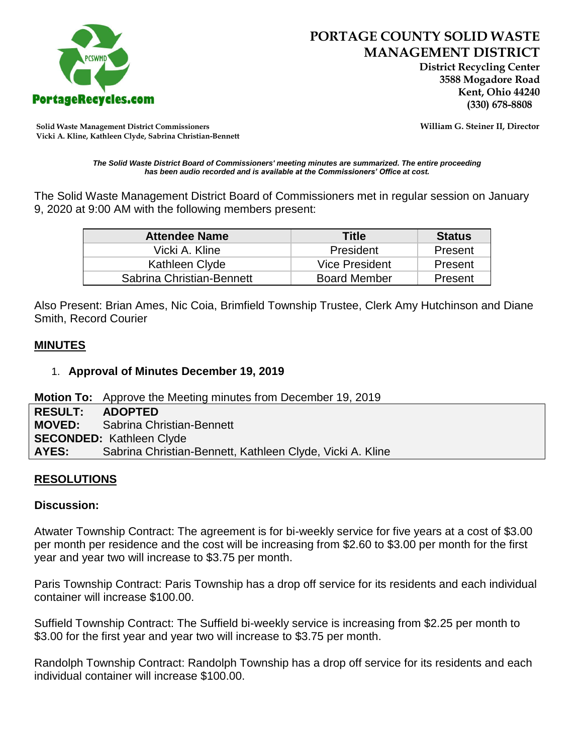

 **District Recycling Center 3588 Mogadore Road Kent, Ohio 44240**

**Solid Waste Management District Commissioners William G. Steiner II, Director Vicki A. Kline, Kathleen Clyde, Sabrina Christian-Bennett** 

*The Solid Waste District Board of Commissioners' meeting minutes are summarized. The entire proceeding has been audio recorded and is available at the Commissioners' Office at cost.*

The Solid Waste Management District Board of Commissioners met in regular session on January 9, 2020 at 9:00 AM with the following members present:

| <b>Attendee Name</b>      | Title                 | <b>Status</b> |
|---------------------------|-----------------------|---------------|
| Vicki A. Kline            | President             | Present       |
| Kathleen Clyde            | <b>Vice President</b> | Present       |
| Sabrina Christian-Bennett | <b>Board Member</b>   | Present       |

Also Present: Brian Ames, Nic Coia, Brimfield Township Trustee, Clerk Amy Hutchinson and Diane Smith, Record Courier

### **MINUTES**

#### 1. **Approval of Minutes December 19, 2019**

**Motion To:** Approve the Meeting minutes from December 19, 2019

| RESULT: ADOPTED                 |                                                           |  |
|---------------------------------|-----------------------------------------------------------|--|
|                                 | <b>MOVED:</b> Sabrina Christian-Bennett                   |  |
| <b>SECONDED: Kathleen Clyde</b> |                                                           |  |
| AYES:                           | Sabrina Christian-Bennett, Kathleen Clyde, Vicki A. Kline |  |

### **RESOLUTIONS**

### **Discussion:**

Atwater Township Contract: The agreement is for bi-weekly service for five years at a cost of \$3.00 per month per residence and the cost will be increasing from \$2.60 to \$3.00 per month for the first year and year two will increase to \$3.75 per month.

Paris Township Contract: Paris Township has a drop off service for its residents and each individual container will increase \$100.00.

Suffield Township Contract: The Suffield bi-weekly service is increasing from \$2.25 per month to \$3.00 for the first year and year two will increase to \$3.75 per month.

Randolph Township Contract: Randolph Township has a drop off service for its residents and each individual container will increase \$100.00.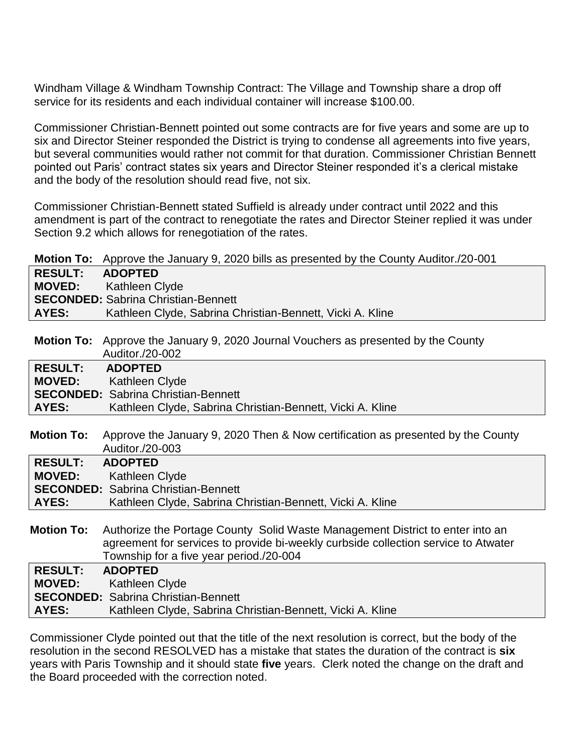Windham Village & Windham Township Contract: The Village and Township share a drop off service for its residents and each individual container will increase \$100.00.

Commissioner Christian-Bennett pointed out some contracts are for five years and some are up to six and Director Steiner responded the District is trying to condense all agreements into five years, but several communities would rather not commit for that duration. Commissioner Christian Bennett pointed out Paris' contract states six years and Director Steiner responded it's a clerical mistake and the body of the resolution should read five, not six.

Commissioner Christian-Bennett stated Suffield is already under contract until 2022 and this amendment is part of the contract to renegotiate the rates and Director Steiner replied it was under Section 9.2 which allows for renegotiation of the rates.

|                | <b>Motion To:</b> Approve the January 9, 2020 bills as presented by the County Auditor./20-001 |
|----------------|------------------------------------------------------------------------------------------------|
| <b>RESULT:</b> | <b>ADOPTED</b>                                                                                 |
|                | <b>MOVED:</b> Kathleen Clyde                                                                   |
|                | <b>SECONDED:</b> Sabrina Christian-Bennett                                                     |
| AYES:          | Kathleen Clyde, Sabrina Christian-Bennett, Vicki A. Kline                                      |
|                |                                                                                                |

**Motion To:** Approve the January 9, 2020 Journal Vouchers as presented by the County Auditor./20-002

| <b>RESULT:</b> | <b>ADOPTED</b>                                            |
|----------------|-----------------------------------------------------------|
|                | <b>MOVED:</b> Kathleen Clyde                              |
|                | <b>SECONDED:</b> Sabrina Christian-Bennett                |
| AYES:          | Kathleen Clyde, Sabrina Christian-Bennett, Vicki A. Kline |

**Motion To:** Approve the January 9, 2020 Then & Now certification as presented by the County Auditor./20-003

| <b>RESULT:</b> | <b>ADOPTED</b>                                            |
|----------------|-----------------------------------------------------------|
|                | <b>MOVED:</b> Kathleen Clyde                              |
|                | <b>SECONDED:</b> Sabrina Christian-Bennett                |
| AYES:          | Kathleen Clyde, Sabrina Christian-Bennett, Vicki A. Kline |
|                |                                                           |

**Motion To:** Authorize the Portage County Solid Waste Management District to enter into an agreement for services to provide bi-weekly curbside collection service to Atwater Township for a five year period./20-004

| RESULT: ADOPTED |                                                           |
|-----------------|-----------------------------------------------------------|
|                 | <b>MOVED:</b> Kathleen Clyde                              |
|                 | <b>SECONDED:</b> Sabrina Christian-Bennett                |
| AYES:           | Kathleen Clyde, Sabrina Christian-Bennett, Vicki A. Kline |
|                 |                                                           |

Commissioner Clyde pointed out that the title of the next resolution is correct, but the body of the resolution in the second RESOLVED has a mistake that states the duration of the contract is **six**  years with Paris Township and it should state **five** years. Clerk noted the change on the draft and the Board proceeded with the correction noted.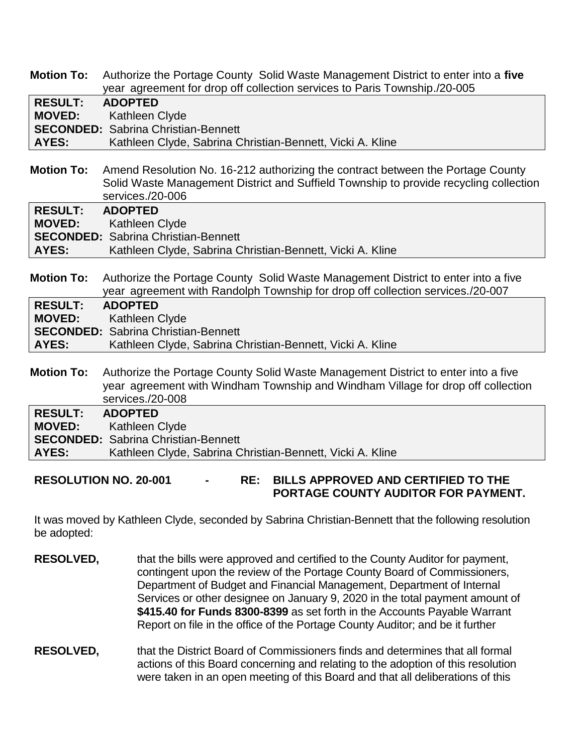**Motion To:** Authorize the Portage County Solid Waste Management District to enter into a **five** year agreement for drop off collection services to Paris Township./20-005

| <b>RESULT:</b> | <b>ADOPTED</b>                                            |
|----------------|-----------------------------------------------------------|
|                | <b>MOVED:</b> Kathleen Clyde                              |
|                | <b>SECONDED:</b> Sabrina Christian-Bennett                |
| <b>AYES:</b>   | Kathleen Clyde, Sabrina Christian-Bennett, Vicki A. Kline |

**Motion To:** Amend Resolution No. 16-212 authorizing the contract between the Portage County Solid Waste Management District and Suffield Township to provide recycling collection services./20-006

| RESULT: ADOPTED |                                                           |
|-----------------|-----------------------------------------------------------|
|                 | <b>MOVED:</b> Kathleen Clyde                              |
|                 | <b>SECONDED:</b> Sabrina Christian-Bennett                |
| AYES:           | Kathleen Clyde, Sabrina Christian-Bennett, Vicki A. Kline |

**Motion To:** Authorize the Portage County Solid Waste Management District to enter into a five year agreement with Randolph Township for drop off collection services./20-007

| RESULT: ADOPTED |                                                           |
|-----------------|-----------------------------------------------------------|
|                 | <b>MOVED:</b> Kathleen Clyde                              |
|                 | <b>SECONDED:</b> Sabrina Christian-Bennett                |
| <b>AYES:</b>    | Kathleen Clyde, Sabrina Christian-Bennett, Vicki A. Kline |

**Motion To:** Authorize the Portage County Solid Waste Management District to enter into a five year agreement with Windham Township and Windham Village for drop off collection services./20-008

| <b>RESULT:</b> | <b>ADOPTED</b>                                            |
|----------------|-----------------------------------------------------------|
| <b>MOVED:</b>  | Kathleen Clyde                                            |
|                | <b>SECONDED:</b> Sabrina Christian-Bennett                |
| <b>AYES:</b>   | Kathleen Clyde, Sabrina Christian-Bennett, Vicki A. Kline |

**RESOLUTION NO. 20-001 - RE: BILLS APPROVED AND CERTIFIED TO THE PORTAGE COUNTY AUDITOR FOR PAYMENT.** 

It was moved by Kathleen Clyde, seconded by Sabrina Christian-Bennett that the following resolution be adopted:

- **RESOLVED,** that the bills were approved and certified to the County Auditor for payment, contingent upon the review of the Portage County Board of Commissioners, Department of Budget and Financial Management, Department of Internal Services or other designee on January 9, 2020 in the total payment amount of **\$415.40 for Funds 8300-8399** as set forth in the Accounts Payable Warrant Report on file in the office of the Portage County Auditor; and be it further
- **RESOLVED,** that the District Board of Commissioners finds and determines that all formal actions of this Board concerning and relating to the adoption of this resolution were taken in an open meeting of this Board and that all deliberations of this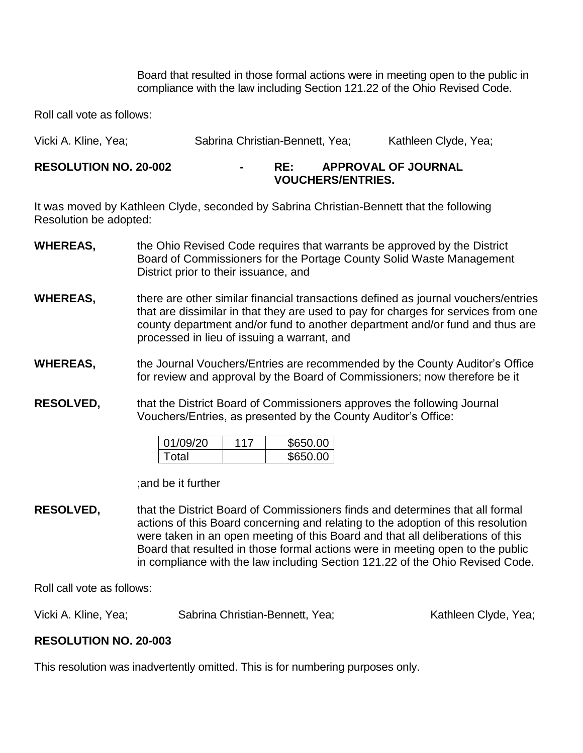Board that resulted in those formal actions were in meeting open to the public in compliance with the law including Section 121.22 of the Ohio Revised Code.

Roll call vote as follows:

| Vicki A. Kline, Yea; | Sabrina Christian-Bennett, Yea; | Kathleen Clyde, Yea; |
|----------------------|---------------------------------|----------------------|
|                      |                                 |                      |

#### **RESOLUTION NO. 20-002 - RE: APPROVAL OF JOURNAL VOUCHERS/ENTRIES.**

It was moved by Kathleen Clyde, seconded by Sabrina Christian-Bennett that the following Resolution be adopted:

- **WHEREAS,** the Ohio Revised Code requires that warrants be approved by the District Board of Commissioners for the Portage County Solid Waste Management District prior to their issuance, and
- **WHEREAS,** there are other similar financial transactions defined as journal vouchers/entries that are dissimilar in that they are used to pay for charges for services from one county department and/or fund to another department and/or fund and thus are processed in lieu of issuing a warrant, and
- **WHEREAS,** the Journal Vouchers/Entries are recommended by the County Auditor's Office for review and approval by the Board of Commissioners; now therefore be it

**RESOLVED,** that the District Board of Commissioners approves the following Journal Vouchers/Entries, as presented by the County Auditor's Office:

| 01/09/20 | \$650.00 |
|----------|----------|
| Total    | \$650.00 |

;and be it further

**RESOLVED,** that the District Board of Commissioners finds and determines that all formal actions of this Board concerning and relating to the adoption of this resolution were taken in an open meeting of this Board and that all deliberations of this Board that resulted in those formal actions were in meeting open to the public in compliance with the law including Section 121.22 of the Ohio Revised Code.

Roll call vote as follows:

Vicki A. Kline, Yea; The Sabrina Christian-Bennett, Yea; The Sathleen Clyde, Yea;

# **RESOLUTION NO. 20-003**

This resolution was inadvertently omitted. This is for numbering purposes only.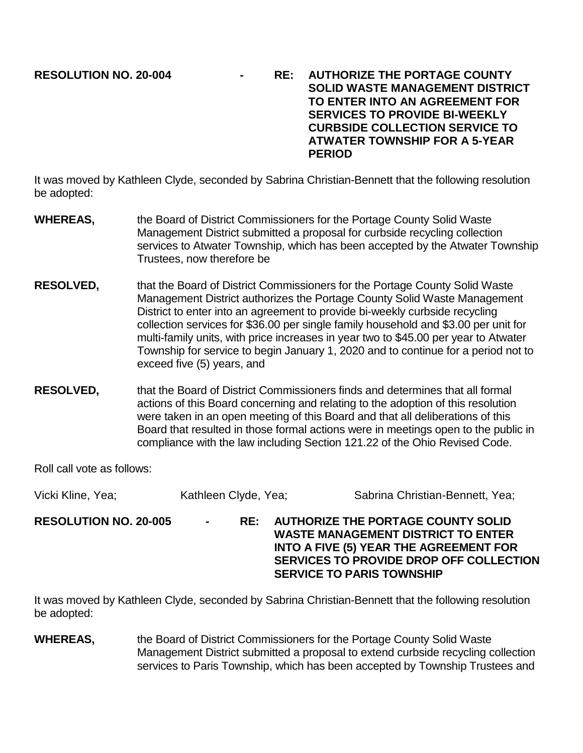**RESOLUTION NO. 20-004 - RE: AUTHORIZE THE PORTAGE COUNTY SOLID WASTE MANAGEMENT DISTRICT TO ENTER INTO AN AGREEMENT FOR SERVICES TO PROVIDE BI-WEEKLY CURBSIDE COLLECTION SERVICE TO ATWATER TOWNSHIP FOR A 5-YEAR PERIOD** 

It was moved by Kathleen Clyde, seconded by Sabrina Christian-Bennett that the following resolution be adopted:

- **WHEREAS,** the Board of District Commissioners for the Portage County Solid Waste Management District submitted a proposal for curbside recycling collection services to Atwater Township, which has been accepted by the Atwater Township Trustees, now therefore be
- **RESOLVED,** that the Board of District Commissioners for the Portage County Solid Waste Management District authorizes the Portage County Solid Waste Management District to enter into an agreement to provide bi-weekly curbside recycling collection services for \$36.00 per single family household and \$3.00 per unit for multi-family units, with price increases in year two to \$45.00 per year to Atwater Township for service to begin January 1, 2020 and to continue for a period not to exceed five (5) years, and
- **RESOLVED,** that the Board of District Commissioners finds and determines that all formal actions of this Board concerning and relating to the adoption of this resolution were taken in an open meeting of this Board and that all deliberations of this Board that resulted in those formal actions were in meetings open to the public in compliance with the law including Section 121.22 of the Ohio Revised Code.

Roll call vote as follows:

Vicki Kline, Yea; Kathleen Clyde, Yea; Sabrina Christian-Bennett, Yea; **RESOLUTION NO. 20-005 - RE: AUTHORIZE THE PORTAGE COUNTY SOLID WASTE MANAGEMENT DISTRICT TO ENTER INTO A FIVE (5) YEAR THE AGREEMENT FOR SERVICES TO PROVIDE DROP OFF COLLECTION SERVICE TO PARIS TOWNSHIP**

It was moved by Kathleen Clyde, seconded by Sabrina Christian-Bennett that the following resolution be adopted:

**WHEREAS,** the Board of District Commissioners for the Portage County Solid Waste Management District submitted a proposal to extend curbside recycling collection services to Paris Township, which has been accepted by Township Trustees and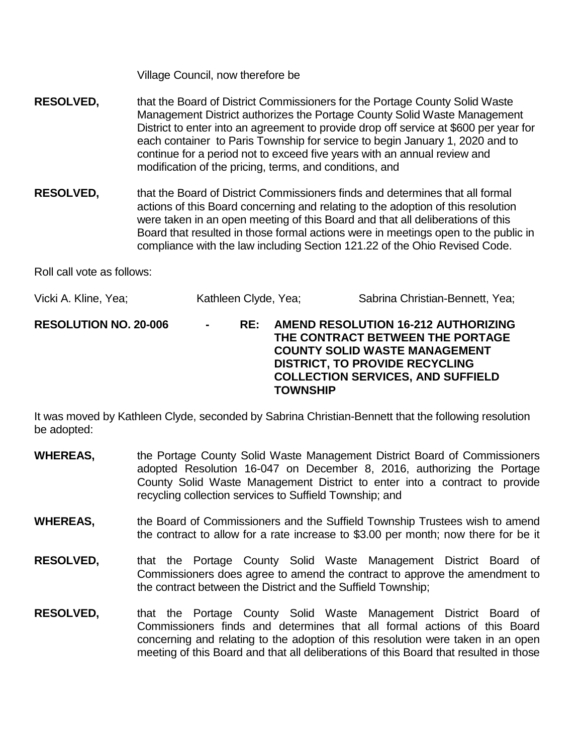Village Council, now therefore be

- **RESOLVED,** that the Board of District Commissioners for the Portage County Solid Waste Management District authorizes the Portage County Solid Waste Management District to enter into an agreement to provide drop off service at \$600 per year for each container to Paris Township for service to begin January 1, 2020 and to continue for a period not to exceed five years with an annual review and modification of the pricing, terms, and conditions, and
- **RESOLVED,** that the Board of District Commissioners finds and determines that all formal actions of this Board concerning and relating to the adoption of this resolution were taken in an open meeting of this Board and that all deliberations of this Board that resulted in those formal actions were in meetings open to the public in compliance with the law including Section 121.22 of the Ohio Revised Code.

Roll call vote as follows:

| Vicki A. Kline, Yea; | Kathleen Clyde, Yea; | Sabrina Christian-Bennett, Yea; |
|----------------------|----------------------|---------------------------------|
|----------------------|----------------------|---------------------------------|

**RESOLUTION NO. 20-006 - RE: AMEND RESOLUTION 16-212 AUTHORIZING THE CONTRACT BETWEEN THE PORTAGE COUNTY SOLID WASTE MANAGEMENT DISTRICT, TO PROVIDE RECYCLING COLLECTION SERVICES, AND SUFFIELD TOWNSHIP**

It was moved by Kathleen Clyde, seconded by Sabrina Christian-Bennett that the following resolution be adopted:

- **WHEREAS,** the Portage County Solid Waste Management District Board of Commissioners adopted Resolution 16-047 on December 8, 2016, authorizing the Portage County Solid Waste Management District to enter into a contract to provide recycling collection services to Suffield Township; and
- **WHEREAS,** the Board of Commissioners and the Suffield Township Trustees wish to amend the contract to allow for a rate increase to \$3.00 per month; now there for be it
- **RESOLVED,** that the Portage County Solid Waste Management District Board of Commissioners does agree to amend the contract to approve the amendment to the contract between the District and the Suffield Township;
- **RESOLVED,** that the Portage County Solid Waste Management District Board of Commissioners finds and determines that all formal actions of this Board concerning and relating to the adoption of this resolution were taken in an open meeting of this Board and that all deliberations of this Board that resulted in those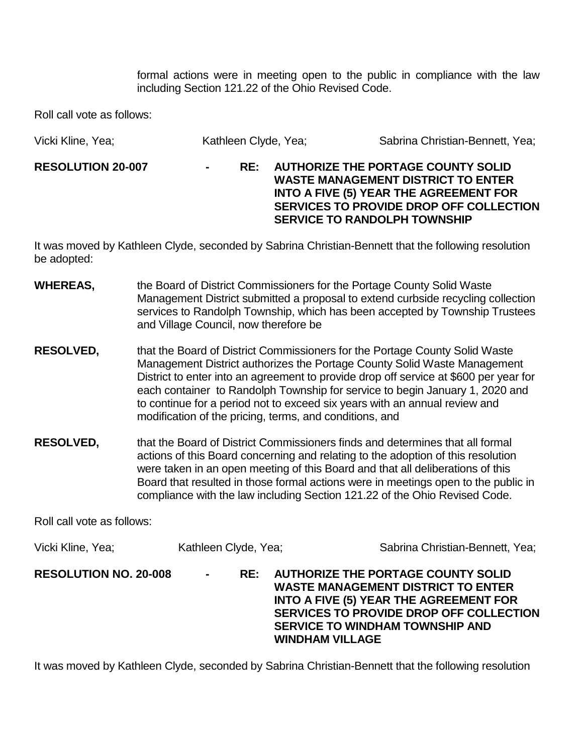formal actions were in meeting open to the public in compliance with the law including Section 121.22 of the Ohio Revised Code.

Roll call vote as follows:

| Vicki Kline, Yea;        | Kathleen Clyde, Yea; |     |  | Sabrina Christian-Bennett, Yea;                                                                                                                                                                                           |
|--------------------------|----------------------|-----|--|---------------------------------------------------------------------------------------------------------------------------------------------------------------------------------------------------------------------------|
| <b>RESOLUTION 20-007</b> | $\blacksquare$       | RF: |  | <b>AUTHORIZE THE PORTAGE COUNTY SOLID</b><br><b>WASTE MANAGEMENT DISTRICT TO ENTER</b><br><b>INTO A FIVE (5) YEAR THE AGREEMENT FOR</b><br>SERVICES TO PROVIDE DROP OFF COLLECTION<br><b>SERVICE TO RANDOLPH TOWNSHIP</b> |

It was moved by Kathleen Clyde, seconded by Sabrina Christian-Bennett that the following resolution be adopted:

- **WHEREAS,** the Board of District Commissioners for the Portage County Solid Waste Management District submitted a proposal to extend curbside recycling collection services to Randolph Township, which has been accepted by Township Trustees and Village Council, now therefore be
- **RESOLVED,** that the Board of District Commissioners for the Portage County Solid Waste Management District authorizes the Portage County Solid Waste Management District to enter into an agreement to provide drop off service at \$600 per year for each container to Randolph Township for service to begin January 1, 2020 and to continue for a period not to exceed six years with an annual review and modification of the pricing, terms, and conditions, and
- **RESOLVED,** that the Board of District Commissioners finds and determines that all formal actions of this Board concerning and relating to the adoption of this resolution were taken in an open meeting of this Board and that all deliberations of this Board that resulted in those formal actions were in meetings open to the public in compliance with the law including Section 121.22 of the Ohio Revised Code.

Roll call vote as follows:

| Vicki Kline, Yea;            | Kathleen Clyde, Yea;           | Sabrina Christian-Bennett, Yea;                                                                                                                                                                                                                        |
|------------------------------|--------------------------------|--------------------------------------------------------------------------------------------------------------------------------------------------------------------------------------------------------------------------------------------------------|
| <b>RESOLUTION NO. 20-008</b> | RE:<br>$\sim 100$ km s $^{-1}$ | <b>AUTHORIZE THE PORTAGE COUNTY SOLID</b><br><b>WASTE MANAGEMENT DISTRICT TO ENTER</b><br><b>INTO A FIVE (5) YEAR THE AGREEMENT FOR</b><br>SERVICES TO PROVIDE DROP OFF COLLECTION<br><b>SERVICE TO WINDHAM TOWNSHIP AND</b><br><b>WINDHAM VILLAGE</b> |

It was moved by Kathleen Clyde, seconded by Sabrina Christian-Bennett that the following resolution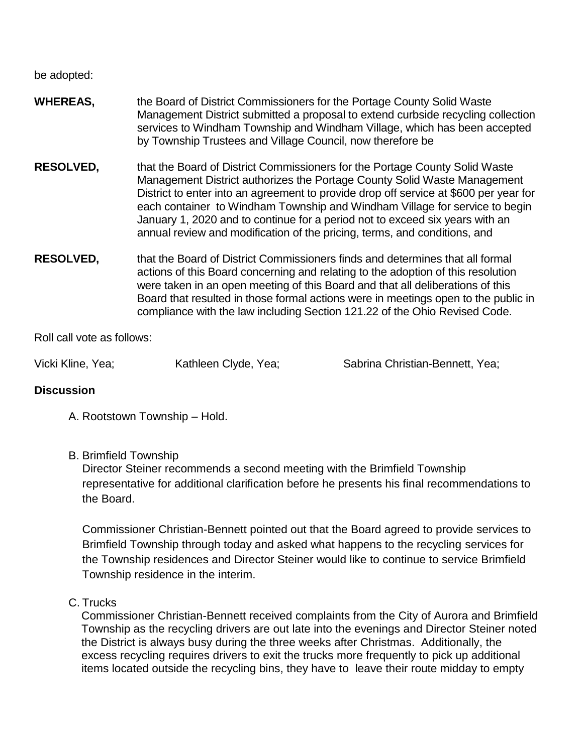be adopted:

- **WHEREAS,** the Board of District Commissioners for the Portage County Solid Waste Management District submitted a proposal to extend curbside recycling collection services to Windham Township and Windham Village, which has been accepted by Township Trustees and Village Council, now therefore be
- **RESOLVED,** that the Board of District Commissioners for the Portage County Solid Waste Management District authorizes the Portage County Solid Waste Management District to enter into an agreement to provide drop off service at \$600 per year for each container to Windham Township and Windham Village for service to begin January 1, 2020 and to continue for a period not to exceed six years with an annual review and modification of the pricing, terms, and conditions, and
- **RESOLVED,** that the Board of District Commissioners finds and determines that all formal actions of this Board concerning and relating to the adoption of this resolution were taken in an open meeting of this Board and that all deliberations of this Board that resulted in those formal actions were in meetings open to the public in compliance with the law including Section 121.22 of the Ohio Revised Code.

Roll call vote as follows:

Vicki Kline, Yea; Kathleen Clyde, Yea; Sabrina Christian-Bennett, Yea;

#### **Discussion**

- A. Rootstown Township Hold.
- B. Brimfield Township

Director Steiner recommends a second meeting with the Brimfield Township representative for additional clarification before he presents his final recommendations to the Board.

Commissioner Christian-Bennett pointed out that the Board agreed to provide services to Brimfield Township through today and asked what happens to the recycling services for the Township residences and Director Steiner would like to continue to service Brimfield Township residence in the interim.

C. Trucks

Commissioner Christian-Bennett received complaints from the City of Aurora and Brimfield Township as the recycling drivers are out late into the evenings and Director Steiner noted the District is always busy during the three weeks after Christmas. Additionally, the excess recycling requires drivers to exit the trucks more frequently to pick up additional items located outside the recycling bins, they have to leave their route midday to empty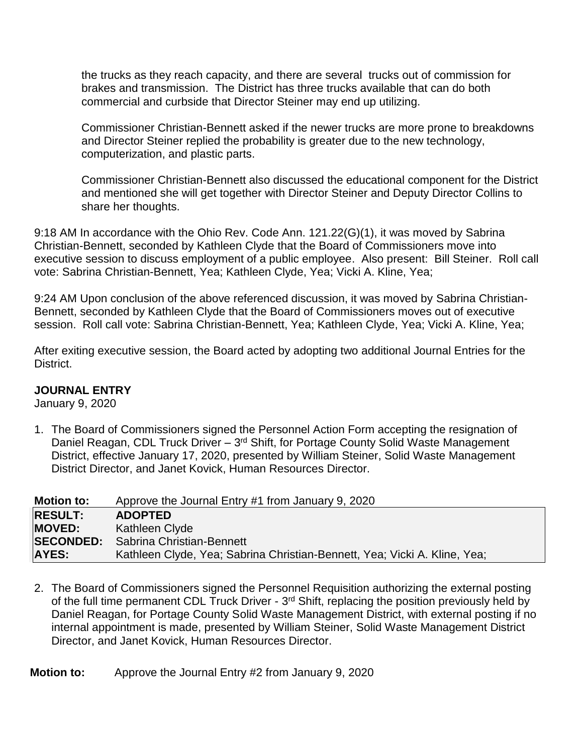the trucks as they reach capacity, and there are several trucks out of commission for brakes and transmission. The District has three trucks available that can do both commercial and curbside that Director Steiner may end up utilizing.

Commissioner Christian-Bennett asked if the newer trucks are more prone to breakdowns and Director Steiner replied the probability is greater due to the new technology, computerization, and plastic parts.

Commissioner Christian-Bennett also discussed the educational component for the District and mentioned she will get together with Director Steiner and Deputy Director Collins to share her thoughts.

9:18 AM In accordance with the Ohio Rev. Code Ann. 121.22(G)(1), it was moved by Sabrina Christian-Bennett, seconded by Kathleen Clyde that the Board of Commissioners move into executive session to discuss employment of a public employee. Also present: Bill Steiner. Roll call vote: Sabrina Christian-Bennett, Yea; Kathleen Clyde, Yea; Vicki A. Kline, Yea;

9:24 AM Upon conclusion of the above referenced discussion, it was moved by Sabrina Christian-Bennett, seconded by Kathleen Clyde that the Board of Commissioners moves out of executive session. Roll call vote: Sabrina Christian-Bennett, Yea; Kathleen Clyde, Yea; Vicki A. Kline, Yea;

After exiting executive session, the Board acted by adopting two additional Journal Entries for the District.

# **JOURNAL ENTRY**

January 9, 2020

1. The Board of Commissioners signed the Personnel Action Form accepting the resignation of Daniel Reagan, CDL Truck Driver - 3<sup>rd</sup> Shift, for Portage County Solid Waste Management District, effective January 17, 2020, presented by William Steiner, Solid Waste Management District Director, and Janet Kovick, Human Resources Director.

| <b>Motion to:</b> | Approve the Journal Entry #1 from January 9, 2020                         |
|-------------------|---------------------------------------------------------------------------|
| <b>RESULT:</b>    | <b>ADOPTED</b>                                                            |
| <b>MOVED:</b>     | Kathleen Clyde                                                            |
| <b>SECONDED:</b>  | Sabrina Christian-Bennett                                                 |
| <b>AYES:</b>      | Kathleen Clyde, Yea; Sabrina Christian-Bennett, Yea; Vicki A. Kline, Yea; |

2. The Board of Commissioners signed the Personnel Requisition authorizing the external posting of the full time permanent CDL Truck Driver - 3<sup>rd</sup> Shift, replacing the position previously held by Daniel Reagan, for Portage County Solid Waste Management District, with external posting if no internal appointment is made, presented by William Steiner, Solid Waste Management District Director, and Janet Kovick, Human Resources Director.

**Motion to:** Approve the Journal Entry #2 from January 9, 2020